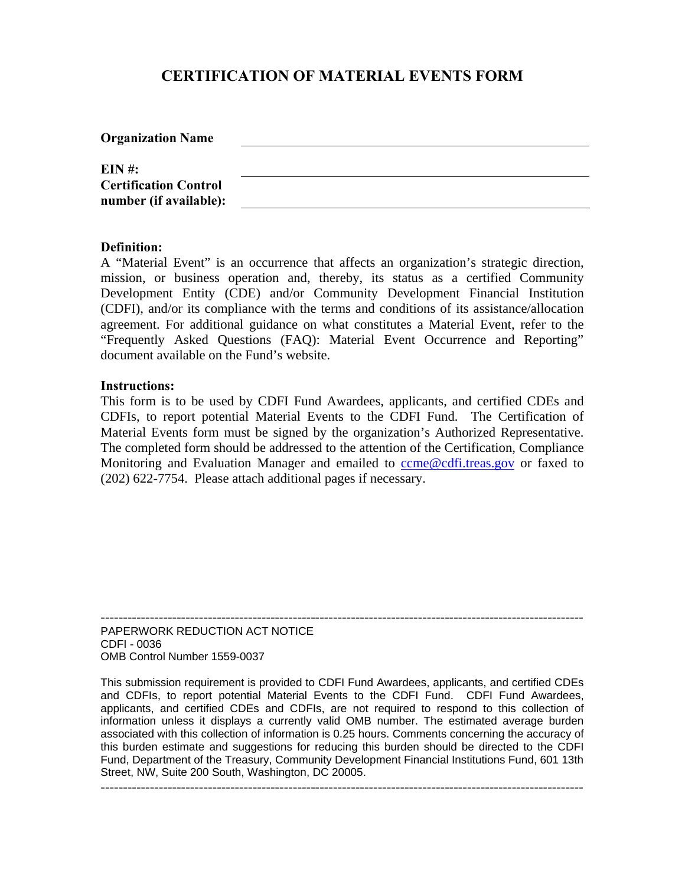# **CERTIFICATION OF MATERIAL EVENTS FORM**

| <b>Organization Name</b>                               |  |
|--------------------------------------------------------|--|
| EIN #:                                                 |  |
| <b>Certification Control</b><br>number (if available): |  |

#### **Definition:**

A "Material Event" is an occurrence that affects an organization's strategic direction, mission, or business operation and, thereby, its status as a certified Community Development Entity (CDE) and/or Community Development Financial Institution (CDFI), and/or its compliance with the terms and conditions of its assistance/allocation agreement. For additional guidance on what constitutes a Material Event, refer to the "Frequently Asked Questions (FAQ): Material Event Occurrence and Reporting" document available on the Fund's website.

#### **Instructions:**

This form is to be used by CDFI Fund Awardees, applicants, and certified CDEs and CDFIs, to report potential Material Events to the CDFI Fund. The Certification of Material Events form must be signed by the organization's Authorized Representative. The completed form should be addressed to the attention of the Certification, Compliance Monitoring and Evaluation Manager and emailed to [ccme@cdfi.treas.gov](mailto:ccme@cdfi.treas.gov) or faxed to (202) 622-7754. Please attach additional pages if necessary.

------------------------------------------------------------------------------------------------------------ PAPERWORK REDUCTION ACT NOTICE CDFI - 0036 OMB Control Number 1559-0037

This submission requirement is provided to CDFI Fund Awardees, applicants, and certified CDEs and CDFIs, to report potential Material Events to the CDFI Fund. CDFI Fund Awardees, applicants, and certified CDEs and CDFIs, are not required to respond to this collection of information unless it displays a currently valid OMB number. The estimated average burden associated with this collection of information is 0.25 hours. Comments concerning the accuracy of this burden estimate and suggestions for reducing this burden should be directed to the CDFI Fund, Department of the Treasury, Community Development Financial Institutions Fund, 601 13th Street, NW, Suite 200 South, Washington, DC 20005.

------------------------------------------------------------------------------------------------------------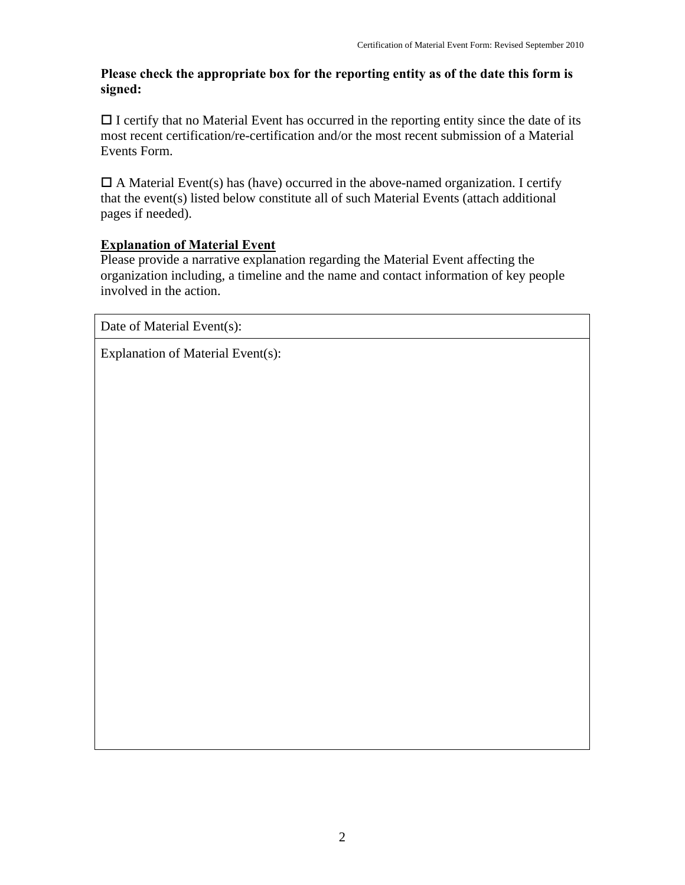### **Please check the appropriate box for the reporting entity as of the date this form is signed:**

 $\Box$  I certify that no Material Event has occurred in the reporting entity since the date of its most recent certification/re-certification and/or the most recent submission of a Material Events Form.

 $\Box$  A Material Event(s) has (have) occurred in the above-named organization. I certify that the event(s) listed below constitute all of such Material Events (attach additional pages if needed).

## **Explanation of Material Event**

Please provide a narrative explanation regarding the Material Event affecting the organization including, a timeline and the name and contact information of key people involved in the action.

Date of Material Event(s):

Explanation of Material Event(s):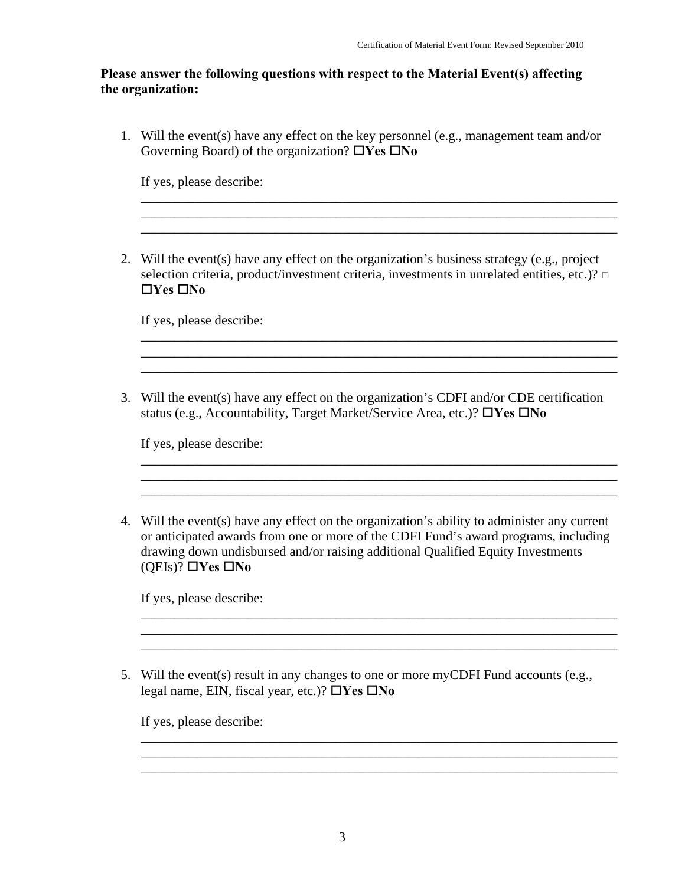#### **Please answer the following questions with respect to the Material Event(s) affecting the organization:**

1. Will the event(s) have any effect on the key personnel (e.g., management team and/or Governing Board) of the organization?  $\Box$ Yes  $\Box$ No

\_\_\_\_\_\_\_\_\_\_\_\_\_\_\_\_\_\_\_\_\_\_\_\_\_\_\_\_\_\_\_\_\_\_\_\_\_\_\_\_\_\_\_\_\_\_\_\_\_\_\_\_\_\_\_\_\_\_\_\_\_\_\_\_\_\_\_\_\_\_\_  $\mathcal{L}_\text{max}$  and the contract of the contract of the contract of the contract of the contract of the contract of the contract of the contract of the contract of the contract of the contract of the contract of the contrac

If yes, please describe:

2. Will the event(s) have any effect on the organization's business strategy (e.g., project selection criteria, product/investment criteria, investments in unrelated entities, etc.)? **□**  $\Box$ **Yes**  $\Box$ **No** 

\_\_\_\_\_\_\_\_\_\_\_\_\_\_\_\_\_\_\_\_\_\_\_\_\_\_\_\_\_\_\_\_\_\_\_\_\_\_\_\_\_\_\_\_\_\_\_\_\_\_\_\_\_\_\_\_\_\_\_\_\_\_\_\_\_\_\_\_\_\_\_ \_\_\_\_\_\_\_\_\_\_\_\_\_\_\_\_\_\_\_\_\_\_\_\_\_\_\_\_\_\_\_\_\_\_\_\_\_\_\_\_\_\_\_\_\_\_\_\_\_\_\_\_\_\_\_\_\_\_\_\_\_\_\_\_\_\_\_\_\_\_\_ \_\_\_\_\_\_\_\_\_\_\_\_\_\_\_\_\_\_\_\_\_\_\_\_\_\_\_\_\_\_\_\_\_\_\_\_\_\_\_\_\_\_\_\_\_\_\_\_\_\_\_\_\_\_\_\_\_\_\_\_\_\_\_\_\_\_\_\_\_\_\_

\_\_\_\_\_\_\_\_\_\_\_\_\_\_\_\_\_\_\_\_\_\_\_\_\_\_\_\_\_\_\_\_\_\_\_\_\_\_\_\_\_\_\_\_\_\_\_\_\_\_\_\_\_\_\_\_\_\_\_\_\_\_\_\_\_\_\_\_\_\_\_

\_\_\_\_\_\_\_\_\_\_\_\_\_\_\_\_\_\_\_\_\_\_\_\_\_\_\_\_\_\_\_\_\_\_\_\_\_\_\_\_\_\_\_\_\_\_\_\_\_\_\_\_\_\_\_\_\_\_\_\_\_\_\_\_\_\_\_\_\_\_\_

\_\_\_\_\_\_\_\_\_\_\_\_\_\_\_\_\_\_\_\_\_\_\_\_\_\_\_\_\_\_\_\_\_\_\_\_\_\_\_\_\_\_\_\_\_\_\_\_\_\_\_\_\_\_\_\_\_\_\_\_\_\_\_\_\_\_\_\_\_\_\_ \_\_\_\_\_\_\_\_\_\_\_\_\_\_\_\_\_\_\_\_\_\_\_\_\_\_\_\_\_\_\_\_\_\_\_\_\_\_\_\_\_\_\_\_\_\_\_\_\_\_\_\_\_\_\_\_\_\_\_\_\_\_\_\_\_\_\_\_\_\_\_ \_\_\_\_\_\_\_\_\_\_\_\_\_\_\_\_\_\_\_\_\_\_\_\_\_\_\_\_\_\_\_\_\_\_\_\_\_\_\_\_\_\_\_\_\_\_\_\_\_\_\_\_\_\_\_\_\_\_\_\_\_\_\_\_\_\_\_\_\_\_\_

\_\_\_\_\_\_\_\_\_\_\_\_\_\_\_\_\_\_\_\_\_\_\_\_\_\_\_\_\_\_\_\_\_\_\_\_\_\_\_\_\_\_\_\_\_\_\_\_\_\_\_\_\_\_\_\_\_\_\_\_\_\_\_\_\_\_\_\_\_\_\_ \_\_\_\_\_\_\_\_\_\_\_\_\_\_\_\_\_\_\_\_\_\_\_\_\_\_\_\_\_\_\_\_\_\_\_\_\_\_\_\_\_\_\_\_\_\_\_\_\_\_\_\_\_\_\_\_\_\_\_\_\_\_\_\_\_\_\_\_\_\_\_ \_\_\_\_\_\_\_\_\_\_\_\_\_\_\_\_\_\_\_\_\_\_\_\_\_\_\_\_\_\_\_\_\_\_\_\_\_\_\_\_\_\_\_\_\_\_\_\_\_\_\_\_\_\_\_\_\_\_\_\_\_\_\_\_\_\_\_\_\_\_\_

If yes, please describe:

3. Will the event(s) have any effect on the organization's CDFI and/or CDE certification status (e.g., Accountability, Target Market/Service Area, etc.)? **TYes TNo** 

If yes, please describe:

4. Will the event(s) have any effect on the organization's ability to administer any current or anticipated awards from one or more of the CDFI Fund's award programs, including drawing down undisbursed and/or raising additional Qualified Equity Investments  $(OEIs)?$   $\Box$ Yes  $\Box$ No

If yes, please describe:

5. Will the event(s) result in any changes to one or more myCDFI Fund accounts (e.g., legal name, EIN, fiscal year, etc.)?  $\Box$ Yes  $\Box$ No

If yes, please describe: